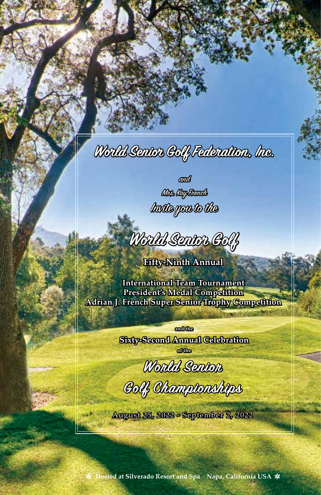# **World Senior Golf Federation, Inc.**

and Mrs. Kap French Invite you to the

**World Senior Golf**

### **Fifty-Ninth Annual**

**International Team Tournament President's Medal Competition Adrian J. French Super Senior Trophy Competition**

> World Senior **Sixty-Second Annual Celebration and the of the**

gans<br>Insulat Compon August 20, 2022 — August 28, 2022 **Golf Championships World Senior** 

August 25, 2022 - September 2, 2022

1 **Hosted at Silverado Resort and Spa Napa, California USA** 1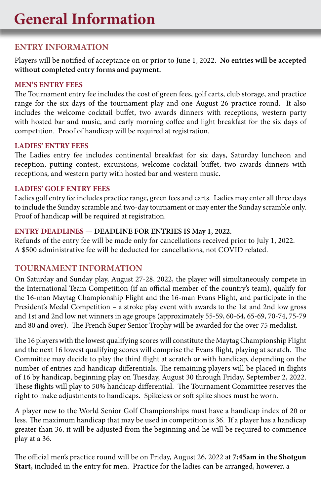### **ENTRY INFORMATION**

Players will be notified of acceptance on or prior to June 1, 2022. **No entries will be accepted without completed entry forms and payment.**

#### **MEN'S ENTRY FEES**

The Tournament entry fee includes the cost of green fees, golf carts, club storage, and practice range for the six days of the tournament play and one August 26 practice round. It also includes the welcome cocktail buffet, two awards dinners with receptions, western party with hosted bar and music, and early morning coffee and light breakfast for the six days of competition. Proof of handicap will be required at registration.

#### **LADIES' ENTRY FEES**

The Ladies entry fee includes continental breakfast for six days, Saturday luncheon and reception, putting contest, excursions, welcome cocktail buffet, two awards dinners with receptions, and western party with hosted bar and western music.

#### **LADIES' GOLF ENTRY FEES**

Ladies golf entry fee includes practice range, green fees and carts. Ladies may enter all three days to include the Sunday scramble and two-day tournament or may enter the Sunday scramble only. Proof of handicap will be required at registration.

#### **ENTRY DEADLINES — DEADLINE FOR ENTRIES IS May 1, 2022.**

Refunds of the entry fee will be made only for cancellations received prior to July 1, 2022. A \$500 administrative fee will be deducted for cancellations, not COVID related.

### **TOURNAMENT INFORMATION**

On Saturday and Sunday play, August 27-28, 2022, the player will simultaneously compete in the International Team Competition (if an official member of the country's team), qualify for the 16-man Maytag Championship Flight and the 16-man Evans Flight, and participate in the President's Medal Competition – a stroke play event with awards to the 1st and 2nd low gross and 1st and 2nd low net winners in age groups (approximately 55-59, 60-64, 65-69, 70-74, 75-79 and 80 and over). The French Super Senior Trophy will be awarded for the over 75 medalist.

The 16 players with the lowest qualifying scores will constitute the Maytag Championship Flight and the next 16 lowest qualifying scores will comprise the Evans flight, playing at scratch. The Committee may decide to play the third flight at scratch or with handicap, depending on the number of entries and handicap differentials. The remaining players will be placed in flights of 16 by handicap, beginning play on Tuesday, August 30 through Friday, September 2, 2022. These flights will play to 50% handicap differential. The Tournament Committee reserves the right to make adjustments to handicaps. Spikeless or soft spike shoes must be worn.

A player new to the World Senior Golf Championships must have a handicap index of 20 or less. The maximum handicap that may be used in competition is 36. If a player has a handicap greater than 36, it will be adjusted from the beginning and he will be required to commence play at a 36.

The official men's practice round will be on Friday, August 26, 2022 at **7:45am in the Shotgun Start,** included in the entry for men. Practice for the ladies can be arranged, however, a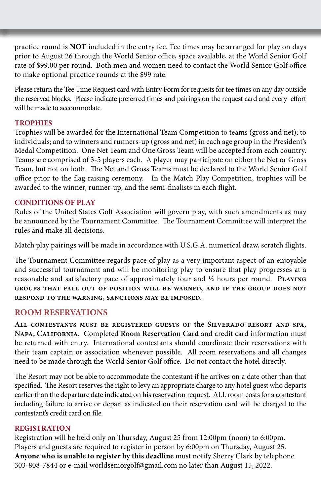practice round is **NOT** included in the entry fee. Tee times may be arranged for play on days prior to August 26 through the World Senior office, space available, at the World Senior Golf rate of \$99.00 per round. Both men and women need to contact the World Senior Golf office to make optional practice rounds at the \$99 rate.

Please return the Tee Time Request card with Entry Form for requests for tee times on any day outside the reserved blocks. Please indicate preferred times and pairings on the request card and every effort will be made to accommodate.

#### **TROPHIES**

Trophies will be awarded for the International Team Competition to teams (gross and net); to individuals; and to winners and runners-up (gross and net) in each age group in the President's Medal Competition. One Net Team and One Gross Team will be accepted from each country. Teams are comprised of 3-5 players each. A player may participate on either the Net or Gross Team, but not on both. The Net and Gross Teams must be declared to the World Senior Golf office prior to the flag raising ceremony. In the Match Play Competition, trophies will be awarded to the winner, runner-up, and the semi-finalists in each flight.

#### **CONDITIONS OF PLAY**

Rules of the United States Golf Association will govern play, with such amendments as may be announced by the Tournament Committee. The Tournament Committee will interpret the rules and make all decisions.

Match play pairings will be made in accordance with U.S.G.A. numerical draw, scratch flights.

The Tournament Committee regards pace of play as a very important aspect of an enjoyable and successful tournament and will be monitoring play to ensure that play progresses at a reasonable and satisfactory pace of approximately four and ½ hours per round. **Playing groups that fall out of position will be warned, and if the group does not respond to the warning, sanctions may be imposed.**

### **ROOM RESERVATIONS**

**All contestants must be registered guests of the Silverado resort and spa, Napa, California.** Completed **Room Reservation Card** and credit card information must be returned with entry. International contestants should coordinate their reservations with their team captain or association whenever possible. All room reservations and all changes need to be made through the World Senior Golf office. Do not contact the hotel directly.

The Resort may not be able to accommodate the contestant if he arrives on a date other than that specified. The Resort reserves the right to levy an appropriate charge to any hotel guest who departs earlier than the departure date indicated on his reservation request. ALL room costs for a contestant including failure to arrive or depart as indicated on their reservation card will be charged to the contestant's credit card on file.

#### **REGISTRATION**

Registration will be held only on Thursday, August 25 from 12:00pm (noon) to 6:00pm. Players and guests are required to register in person by 6:00pm on Thursday, August 25. **Anyone who is unable to register by this deadline** must notify Sherry Clark by telephone 303-808-7844 or e-mail worldseniorgolf@gmail.com no later than August 15, 2022.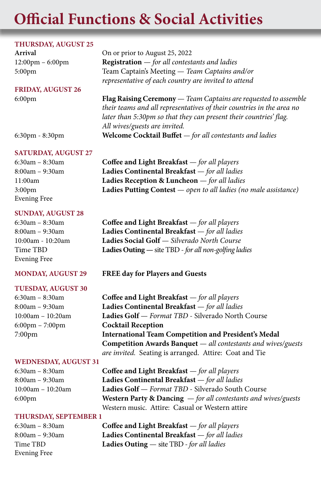# **Official Functions & Social Activities**

#### **THURSDAY, AUGUST 25**

**FRIDAY, AUGUST 26**

**Arrival** On or prior to August 25, 2022 12:00pm – 6:00pm **Registration** — *for all contestants and ladies* 5:00pm Team Captain's Meeting — *Team Captains and/or representative of each country are invited to attend*

6:00pm **Flag Raising Ceremony** — *Team Captains are requested to assemble their teams and all representatives of their countries in the area no later than 5:30pm so that they can present their countries' flag. All wives/guests are invited.* 6:30pm - 8:30pm **Welcome Cocktail Buffet** — *for all contestants and ladies*

#### **SATURDAY, AUGUST 27**

| $6:30am - 8:30am$  | Coffee and Light Breakfast $-$ for all players                                      |
|--------------------|-------------------------------------------------------------------------------------|
| $8:00am - 9:30am$  | Ladies Continental Breakfast $-$ for all ladies                                     |
| 11:00am            | Ladies Reception & Luncheon $-$ for all ladies                                      |
| 3:00 <sub>pm</sub> | <b>Ladies Putting Contest</b> $\rightarrow$ open to all ladies (no male assistance) |
| Evening Free       |                                                                                     |

#### **SUNDAY, AUGUST 28**

Evening Free

6:30am – 8:30am **Coffee and Light Breakfast** — *for all players* 8:00am – 9:30am **Ladies Continental Breakfast** — *for all ladies* 10:00am - 10:20am **Ladies Social Golf** — *Silverado North Course* Time TBD **Ladies Outing —** site TBD - *for all non-golfing ladies*

#### **TUESDAY, AUGUST 30**

#### **WEDNESDAY, AUGUST 31**

#### **MONDAY, AUGUST 29 FREE day for Players and Guests**

6:30am – 8:30am **Coffee and Light Breakfast** — *for all players* 8:00am – 9:30am **Ladies Continental Breakfast** — *for all ladies* 10:00am – 10:20am **Ladies Golf** — *Format TBD* - Silverado North Course 6:00pm – 7:00pm **Cocktail Reception** 7:00pm **International Team Competition and President's Medal Competition Awards Banquet** — *all contestants and wives/guests are invited.* Seating is arranged. Attire: Coat and Tie

6:30am – 8:30am **Coffee and Light Breakfast** — *for all players* 8:00am – 9:30am **Ladies Continental Breakfast** — *for all ladies* 10:00am – 10:20am **Ladies Golf** — *Format TBD* - Silverado South Course 6:00pm**Western Party & Dancing** — *for all contestants and wives/guests* Western music. Attire: Casual or Western attire

#### **THURSDAY, SEPTEMBER 1**

Evening Free

6:30am – 8:30am **Coffee and Light Breakfast** — *for all players* 8:00am – 9:30am **Ladies Continental Breakfast** — *for all ladies* Time TBD **Ladies Outing** — site TBD - *for all ladies*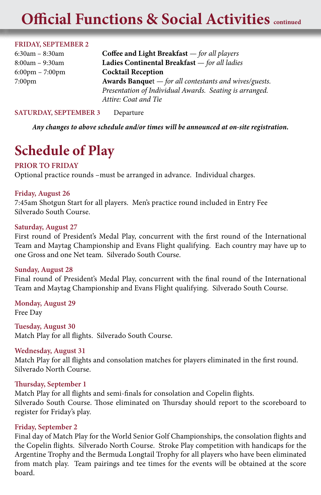# **Official Functions & Social Activities continued**

#### **FRIDAY, SEPTEMBER 2**

6:30am – 8:30am**Coffee and Light Breakfast** — *for all players* 8:00am – 9:30am**Ladies Continental Breakfast** — *for all ladies* 6:00pm – 7:00pm**Cocktail Reception** 7:00pm**Awards Banque**t *— for all contestants and wives/guests. Presentation of Individual Awards. Seating is arranged. Attire: Coat and Tie*

#### **SATURDAY, SEPTEMBER 3** Departure

*Any changes to above schedule and/or times will be announced at on-site registration.*

### **Schedule of Play**

#### **PRIOR TO FRIDAY**

Optional practice rounds –must be arranged in advance. Individual charges.

#### **Friday, August 26**

7:45am Shotgun Start for all players. Men's practice round included in Entry Fee Silverado South Course.

#### **Saturday, August 27**

First round of President's Medal Play, concurrent with the first round of the International Team and Maytag Championship and Evans Flight qualifying. Each country may have up to one Gross and one Net team. Silverado South Course.

#### **Sunday, August 28**

Final round of President's Medal Play, concurrent with the final round of the International Team and Maytag Championship and Evans Flight qualifying. Silverado South Course.

**Monday, August 29** Free Day

**Tuesday, August 30** Match Play for all flights. Silverado South Course.

#### **Wednesday, August 31**

Match Play for all flights and consolation matches for players eliminated in the first round. Silverado North Course.

#### **Thursday, September 1**

Match Play for all flights and semi-finals for consolation and Copelin flights. Silverado South Course. Those eliminated on Thursday should report to the scoreboard to register for Friday's play.

#### **Friday, September 2**

Final day of Match Play for the World Senior Golf Championships, the consolation flights and the Copelin flights. Silverado North Course. Stroke Play competition with handicaps for the Argentine Trophy and the Bermuda Longtail Trophy for all players who have been eliminated from match play. Team pairings and tee times for the events will be obtained at the score board.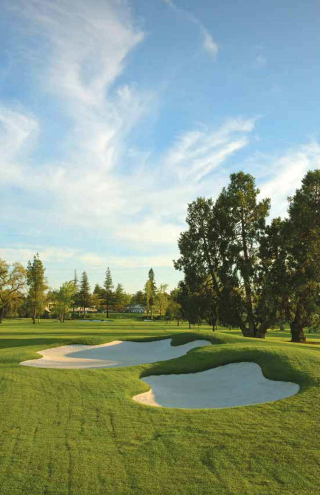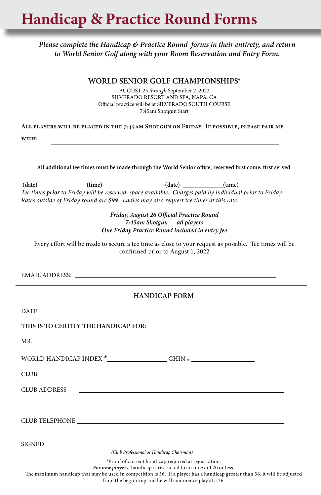## **Handicap & Practice Round Forms**

#### *Please complete the Handicap & Practice Round forms in their entirety, and return to World Senior Golf along with your Room Reservation and Entry Form.*

**WORLD SENIOR GOLF CHALL INFORMATION** 

| WORLD SENIOR GOLF CHAMPIONSHIPS"                                                                                                                                                                                              |
|-------------------------------------------------------------------------------------------------------------------------------------------------------------------------------------------------------------------------------|
| AUGUST 25 through September 2, 2022                                                                                                                                                                                           |
| SILVERADO RESORT AND SPA, NAPA, CA                                                                                                                                                                                            |
| Official practice will be at SILVERADO SOUTH COURSE                                                                                                                                                                           |
| 7:45am Shotgun Start                                                                                                                                                                                                          |
| ALL PLAYERS WILL BE PLACED IN THE 7:45AM SHOTGUN ON FRIDAY. IF POSSIBLE, PLEASE PAIR ME                                                                                                                                       |
| WITH:                                                                                                                                                                                                                         |
|                                                                                                                                                                                                                               |
| All additional tee times must be made through the World Senior office, reserved first come, first served.                                                                                                                     |
| $(data)$ (date) (time) (date) (date) (time)                                                                                                                                                                                   |
| Tee times prior to Friday will be reserved, space available. Charges paid by individual prior to Friday.<br>Rates outside of Friday round are \$99. Ladies may also request tee times at this rate.                           |
| Friday, August 26 Official Practice Round                                                                                                                                                                                     |
| 7:45am Shotgun - all players                                                                                                                                                                                                  |
| One Friday Practice Round included in entry fee                                                                                                                                                                               |
| Every effort will be made to secure a tee time as close to your request as possible. Tee times will be<br>confirmed prior to August 1, 2022                                                                                   |
| EMAIL ADDRESS: New York Contract the Contract of the Contract of the Contract of the Contract of the Contract of the Contract of the Contract of the Contract of the Contract of the Contract of the Contract of the Contract |
| <b>HANDICAP FORM</b>                                                                                                                                                                                                          |
| DATE <b>DATE</b>                                                                                                                                                                                                              |
| THIS IS TO CERTIFY THE HANDICAP FOR:                                                                                                                                                                                          |
|                                                                                                                                                                                                                               |
|                                                                                                                                                                                                                               |
|                                                                                                                                                                                                                               |
| <b>CLUB ADDRESS</b>                                                                                                                                                                                                           |
|                                                                                                                                                                                                                               |
| CLUB TELEPHONE THE STATE OF THE STATE OF THE STATE OF THE STATE OF THE STATE OF THE STATE OF THE STATE OF THE                                                                                                                 |
| <b>SIGNED</b>                                                                                                                                                                                                                 |
| (Club Professional or Handicap Chairman)                                                                                                                                                                                      |
| *Proof of current handican required at registration                                                                                                                                                                           |

\*Proof of current handicap required at registration. *For new players,* handicap is restricted to an index of 20 or less.

The maximum handicap that may be used in competition is 36. If a player has a handicap greater than 36, it will be adjusted

from the beginning and he will commence play at a 36.